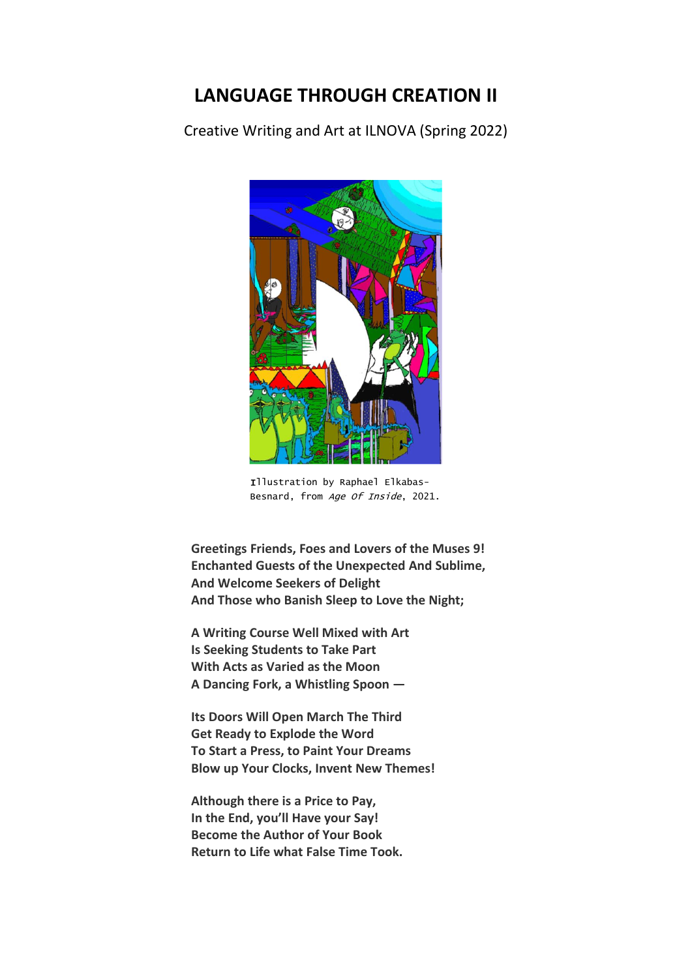## **LANGUAGE THROUGH CREATION II**

Creative Writing and Art at ILNOVA (Spring 2022)



 Illustration by Raphael Elkabas- Besnard, from Age Of Inside, 2021.

**Greetings Friends, Foes and Lovers of the Muses 9! Enchanted Guests of the Unexpected And Sublime, And Welcome Seekers of Delight And Those who Banish Sleep to Love the Night;**

**A Writing Course Well Mixed with Art Is Seeking Students to Take Part With Acts as Varied as the Moon A Dancing Fork, a Whistling Spoon —**

**Its Doors Will Open March The Third Get Ready to Explode the Word To Start a Press, to Paint Your Dreams Blow up Your Clocks, Invent New Themes!**

**Although there is a Price to Pay, In the End, you'll Have your Say! Become the Author of Your Book Return to Life what False Time Took.**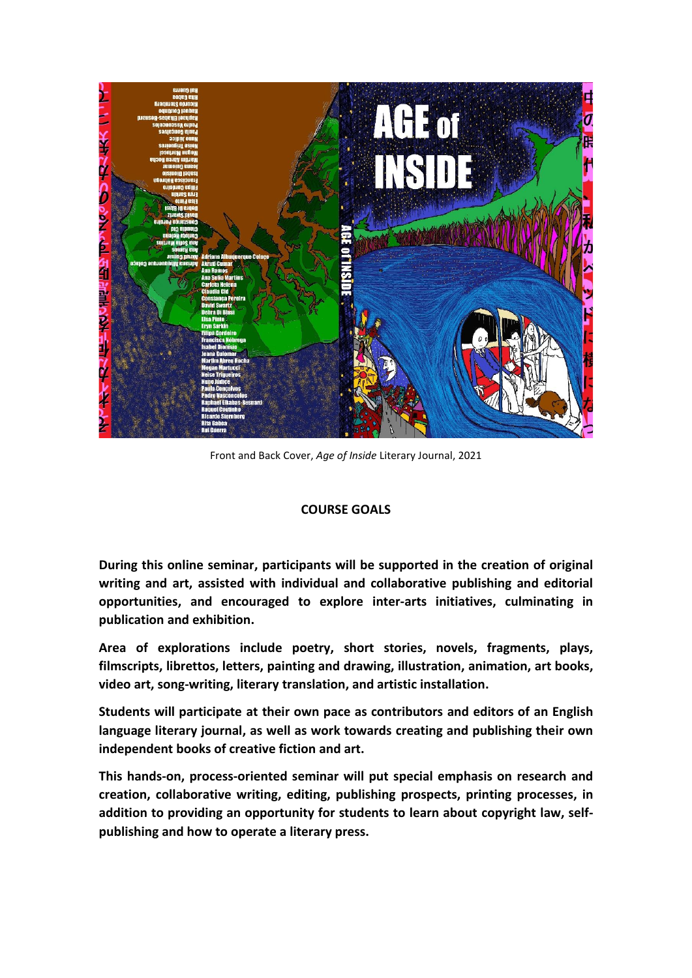

Front and Back Cover, *Age of Inside* Literary Journal, 2021

## **COURSE GOALS**

**During this online seminar, participants will be supported in the creation of original writing and art, assisted with individual and collaborative publishing and editorial opportunities, and encouraged to explore inter-arts initiatives, culminating in publication and exhibition.**

**Area of explorations include poetry, short stories, novels, fragments, plays, filmscripts, librettos, letters, painting and drawing, illustration, animation, art books, video art, song-writing, literary translation, and artistic installation.**

**Students will participate at their own pace as contributors and editors of an English language literary journal, as well as work towards creating and publishing their own independent books of creative fiction and art.**

**This hands-on, process-oriented seminar will put special emphasis on research and creation, collaborative writing, editing, publishing prospects, printing processes, in addition to providing an opportunity for students to learn about copyright law, selfpublishing and how to operate a literary press.**